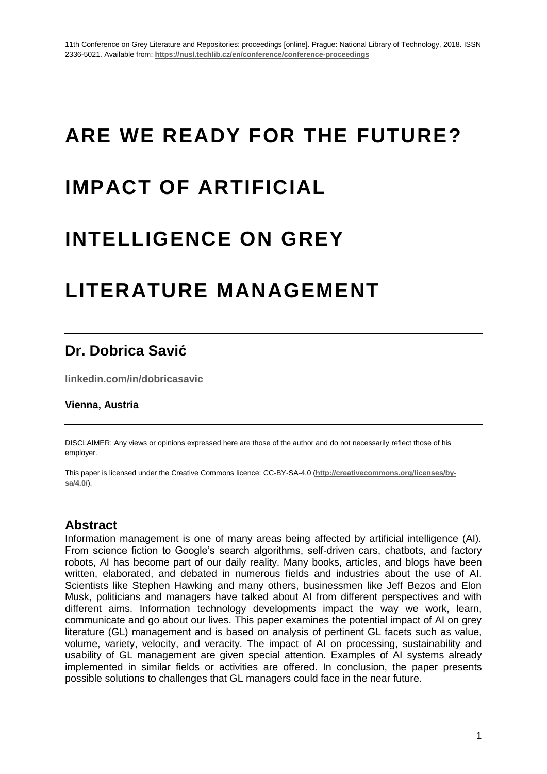# **ARE WE READY FOR THE FUTURE?**

## **IMPACT OF ARTIFICIAL**

### **INTELLIGENCE ON GREY**

### **LITERATURE MANAGEMENT**

### **Dr. Dobrica Savić**

**linkedin.com/in/dobricasavic**

#### **Vienna, Austria**

DISCLAIMER: Any views or opinions expressed here are those of the author and do not necessarily reflect those of his employer.

This paper is licensed under the Creative Commons licence: CC-BY-SA-4.0 (**http://creativecommons.org/licenses/bysa/4.0/**).

#### **Abstract**

Information management is one of many areas being affected by artificial intelligence (AI). From science fiction to Google's search algorithms, self-driven cars, chatbots, and factory robots, AI has become part of our daily reality. Many books, articles, and blogs have been written, elaborated, and debated in numerous fields and industries about the use of AI. Scientists like Stephen Hawking and many others, businessmen like Jeff Bezos and Elon Musk, politicians and managers have talked about AI from different perspectives and with different aims. Information technology developments impact the way we work, learn, communicate and go about our lives. This paper examines the potential impact of AI on grey literature (GL) management and is based on analysis of pertinent GL facets such as value, volume, variety, velocity, and veracity. The impact of AI on processing, sustainability and usability of GL management are given special attention. Examples of AI systems already implemented in similar fields or activities are offered. In conclusion, the paper presents possible solutions to challenges that GL managers could face in the near future.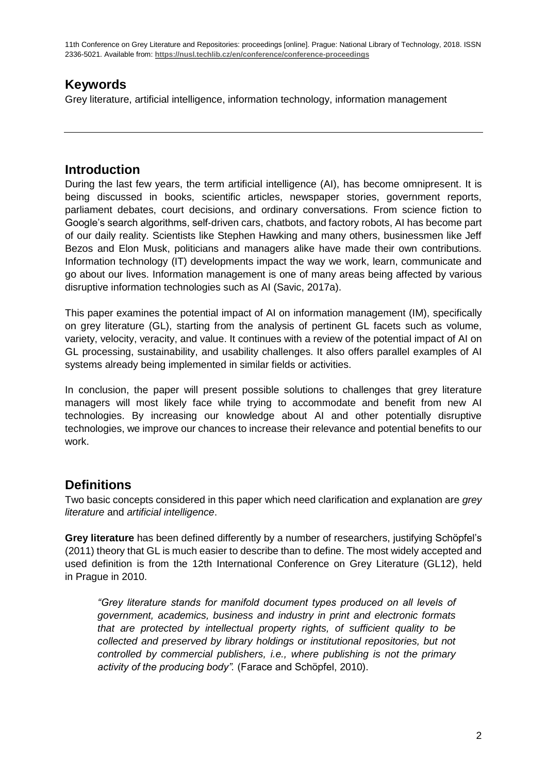#### **Keywords**

Grey literature, artificial intelligence, information technology, information management

#### **Introduction**

During the last few years, the term artificial intelligence (AI), has become omnipresent. It is being discussed in books, scientific articles, newspaper stories, government reports, parliament debates, court decisions, and ordinary conversations. From science fiction to Google's search algorithms, self‐driven cars, chatbots, and factory robots, AI has become part of our daily reality. Scientists like Stephen Hawking and many others, businessmen like Jeff Bezos and Elon Musk, politicians and managers alike have made their own contributions. Information technology (IT) developments impact the way we work, learn, communicate and go about our lives. Information management is one of many areas being affected by various disruptive information technologies such as AI (Savic, 2017a).

This paper examines the potential impact of AI on information management (IM), specifically on grey literature (GL), starting from the analysis of pertinent GL facets such as volume, variety, velocity, veracity, and value. It continues with a review of the potential impact of AI on GL processing, sustainability, and usability challenges. It also offers parallel examples of AI systems already being implemented in similar fields or activities.

In conclusion, the paper will present possible solutions to challenges that grey literature managers will most likely face while trying to accommodate and benefit from new AI technologies. By increasing our knowledge about AI and other potentially disruptive technologies, we improve our chances to increase their relevance and potential benefits to our work.

#### **Definitions**

Two basic concepts considered in this paper which need clarification and explanation are *grey literature* and *artificial intelligence*.

**Grey literature** has been defined differently by a number of researchers, justifying Schöpfel's (2011) theory that GL is much easier to describe than to define. The most widely accepted and used definition is from the 12th International Conference on Grey Literature (GL12), held in Prague in 2010.

*"Grey literature stands for manifold document types produced on all levels of government, academics, business and industry in print and electronic formats that are protected by intellectual property rights, of sufficient quality to be collected and preserved by library holdings or institutional repositories, but not controlled by commercial publishers, i.e., where publishing is not the primary activity of the producing body".* (Farace and Schöpfel, 2010).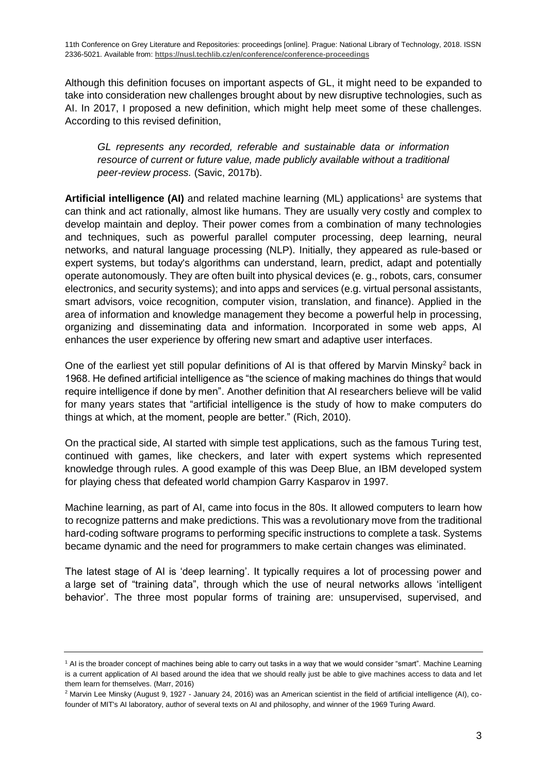Although this definition focuses on important aspects of GL, it might need to be expanded to take into consideration new challenges brought about by new disruptive technologies, such as AI. In 2017, I proposed a new definition, which might help meet some of these challenges. According to this revised definition,

*GL represents any recorded, referable and sustainable data or information resource of current or future value, made publicly available without a traditional peer-review process.* (Savic, 2017b).

**Artificial intelligence (AI)** and related machine learning (ML) applications<sup>1</sup> are systems that can think and act rationally, almost like humans. They are usually very costly and complex to develop maintain and deploy. Their power comes from a combination of many technologies and techniques, such as powerful parallel computer processing, deep learning, neural networks, and natural language processing (NLP). Initially, they appeared as rule-based or expert systems, but today's algorithms can understand, learn, predict, adapt and potentially operate autonomously. They are often built into physical devices (e. g., robots, cars, consumer electronics, and security systems); and into apps and services (e.g. virtual personal assistants, smart advisors, voice recognition, computer vision, translation, and finance). Applied in the area of information and knowledge management they become a powerful help in processing, organizing and disseminating data and information. Incorporated in some web apps, AI enhances the user experience by offering new smart and adaptive user interfaces.

One of the earliest yet still popular definitions of AI is that offered by Marvin Minsky<sup>2</sup> back in 1968. He defined artificial intelligence as "the science of making machines do things that would require intelligence if done by men". Another definition that AI researchers believe will be valid for many years states that "artificial intelligence is the study of how to make computers do things at which, at the moment, people are better." (Rich, 2010).

On the practical side, AI started with simple test applications, such as the famous Turing test, continued with games, like checkers, and later with expert systems which represented knowledge through rules. A good example of this was Deep Blue, an IBM developed system for playing chess that defeated world champion Garry Kasparov in 1997.

Machine learning, as part of AI, came into focus in the 80s. It allowed computers to learn how to recognize patterns and make predictions. This was a revolutionary move from the traditional hard-coding software programs to performing specific instructions to complete a task. Systems became dynamic and the need for programmers to make certain changes was eliminated.

The latest stage of AI is 'deep learning'. It typically requires a lot of processing power and a large set of "training data", through which the use of neural networks allows 'intelligent behavior'. The three most popular forms of training are: unsupervised, supervised, and

<sup>1</sup> AI is the broader concept of machines being able to carry out tasks in a way that we would consider "smart". Machine Learning is a current application of AI based around the idea that we should really just be able to give machines access to data and let them learn for themselves. (Marr, 2016)

<sup>&</sup>lt;sup>2</sup> Marvin Lee Minsky (August 9, 1927 - January 24, 2016) was an American scientist in the field of artificial intelligence (AI), cofounder of MIT's AI laboratory, author of several texts on AI and philosophy, and winner of the 1969 Turing Award.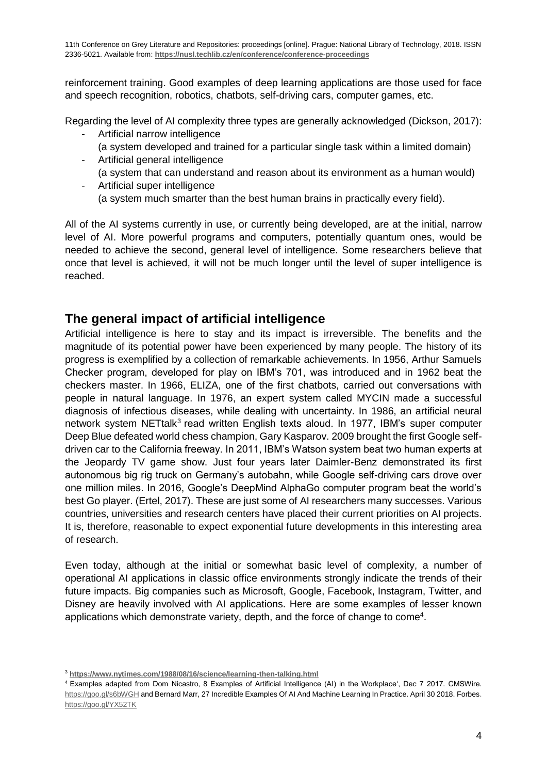reinforcement training. Good examples of deep learning applications are those used for face and speech recognition, robotics, chatbots, self-driving cars, computer games, etc.

Regarding the level of AI complexity three types are generally acknowledged (Dickson, 2017):

- Artificial narrow intelligence (a system developed and trained for a particular single task within a limited domain)
- Artificial general intelligence (a system that can understand and reason about its environment as a human would)
- Artificial super intelligence (a system much smarter than the best human brains in practically every field).

All of the AI systems currently in use, or currently being developed, are at the initial, narrow level of AI. More powerful programs and computers, potentially quantum ones, would be needed to achieve the second, general level of intelligence. Some researchers believe that once that level is achieved, it will not be much longer until the level of super intelligence is reached.

#### **The general impact of artificial intelligence**

Artificial intelligence is here to stay and its impact is irreversible. The benefits and the magnitude of its potential power have been experienced by many people. The history of its progress is exemplified by a collection of remarkable achievements. In 1956, Arthur Samuels Checker program, developed for play on IBM's 701, was introduced and in 1962 beat the checkers master. In 1966, ELIZA, one of the first chatbots, carried out conversations with people in natural language. In 1976, an expert system called MYCIN made a successful diagnosis of infectious diseases, while dealing with uncertainty. In 1986, an artificial neural network system NETtalk<sup>3</sup> read written English texts aloud. In 1977, IBM's super computer Deep Blue defeated world chess champion, Gary Kasparov. 2009 brought the first Google selfdriven car to the California freeway. In 2011, IBM's Watson system beat two human experts at the Jeopardy TV game show. Just four years later Daimler-Benz demonstrated its first autonomous big rig truck on Germany's autobahn, while Google self-driving cars drove over one million miles. In 2016, Google's DeepMind AlphaGo computer program beat the world's best Go player. (Ertel, 2017). These are just some of AI researchers many successes. Various countries, universities and research centers have placed their current priorities on AI projects. It is, therefore, reasonable to expect exponential future developments in this interesting area of research.

Even today, although at the initial or somewhat basic level of complexity, a number of operational AI applications in classic office environments strongly indicate the trends of their future impacts. Big companies such as Microsoft, Google, Facebook, Instagram, Twitter, and Disney are heavily involved with AI applications. Here are some examples of lesser known applications which demonstrate variety, depth, and the force of change to come<sup>4</sup>.

<sup>3</sup> **<https://www.nytimes.com/1988/08/16/science/learning-then-talking.html>**

<sup>&</sup>lt;sup>4</sup> Examples adapted from Dom Nicastro, 8 Examples of Artificial Intelligence (AI) in the Workplace', Dec 7 2017. CMSWire. <https://goo.gl/s6bWGH> and Bernard Marr, 27 Incredible Examples Of AI And Machine Learning In Practice. April 30 2018. Forbes. <https://goo.gl/YX52TK>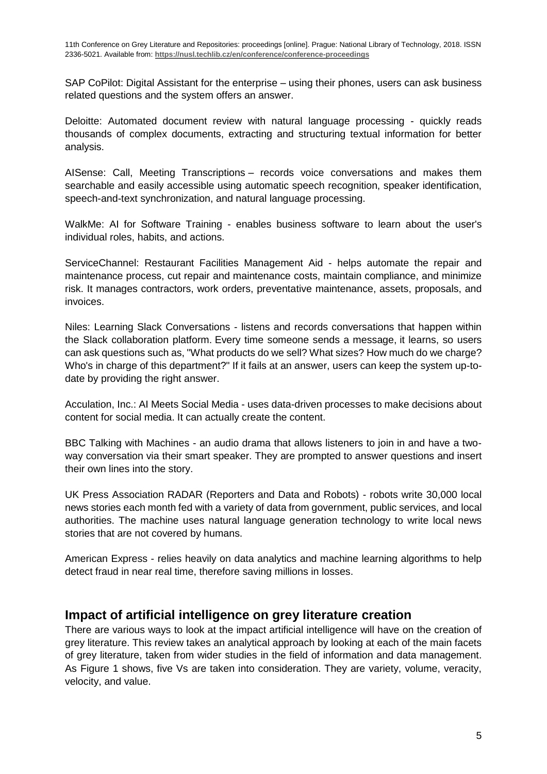SAP CoPilot: Digital Assistant for the enterprise – using their phones, users can ask business related questions and the system offers an answer.

Deloitte: Automated document review with natural language processing - quickly reads thousands of complex documents, extracting and structuring textual information for better analysis.

AISense: Call, Meeting Transcriptions – records voice conversations and makes them searchable and easily accessible using automatic speech recognition, speaker identification, speech-and-text synchronization, and natural language processing.

WalkMe: AI for Software Training - enables business software to learn about the user's individual roles, habits, and actions.

ServiceChannel: Restaurant Facilities Management Aid - helps automate the repair and maintenance process, cut repair and maintenance costs, maintain compliance, and minimize risk. It manages contractors, work orders, preventative maintenance, assets, proposals, and invoices.

Niles: Learning Slack Conversations - listens and records conversations that happen within the Slack collaboration platform. Every time someone sends a message, it learns, so users can ask questions such as, "What products do we sell? What sizes? How much do we charge? Who's in charge of this department?" If it fails at an answer, users can keep the system up-todate by providing the right answer.

Acculation, Inc.: AI Meets Social Media - uses data-driven processes to make decisions about content for social media. It can actually create the content.

BBC Talking with Machines - an audio drama that allows listeners to join in and have a twoway conversation via their smart speaker. They are prompted to answer questions and insert their own lines into the story.

UK Press Association RADAR (Reporters and Data and Robots) - robots write 30,000 local news stories each month fed with a variety of data from government, public services, and local authorities. The machine uses natural language generation technology to write local news stories that are not covered by humans.

American Express - relies heavily on data analytics and machine learning algorithms to help detect fraud in near real time, therefore saving millions in losses.

#### **Impact of artificial intelligence on grey literature creation**

There are various ways to look at the impact artificial intelligence will have on the creation of grey literature. This review takes an analytical approach by looking at each of the main facets of grey literature, taken from wider studies in the field of information and data management. As Figure 1 shows, five Vs are taken into consideration. They are variety, volume, veracity, velocity, and value.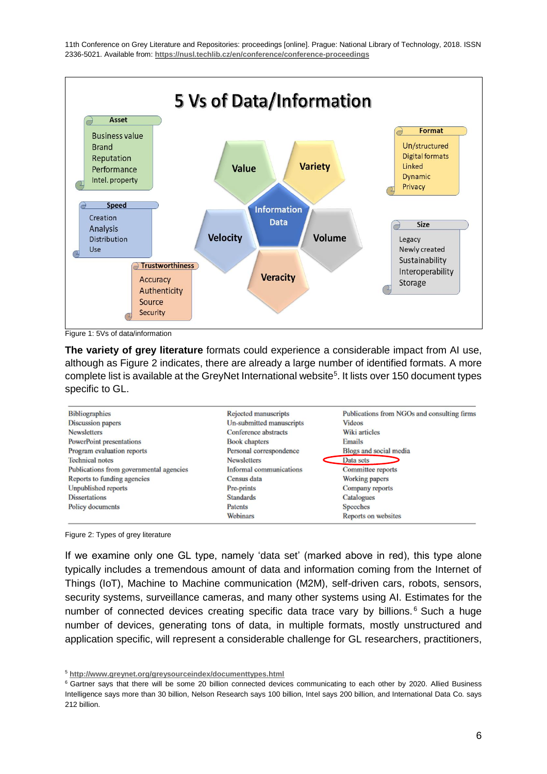

Figure 1: 5Vs of data/information

**The variety of grey literature** formats could experience a considerable impact from AI use, although as Figure 2 indicates, there are already a large number of identified formats. A more complete list is available at the GreyNet International website<sup>5</sup>. It lists over 150 document types specific to GL.

| <b>Bibliographics</b>                   | Rejected manuscripts     | Publications from NGOs and consulting firms |
|-----------------------------------------|--------------------------|---------------------------------------------|
| <b>Discussion papers</b>                | Un-submitted manuscripts | <b>Videos</b>                               |
| <b>Newsletters</b>                      | Conference abstracts     | Wiki articles                               |
| PowerPoint presentations                | <b>Book chapters</b>     | Emails                                      |
| Program evaluation reports              | Personal correspondence  | Blogs and social media                      |
| <b>Technical notes</b>                  | <b>Newsletters</b>       | Data sets                                   |
| Publications from governmental agencies | Informal communications  | Committee reports                           |
| Reports to funding agencies             | Census data              | Working papers                              |
| Unpublished reports                     | Pre-prints               | Company reports                             |
| <b>Dissertations</b>                    | <b>Standards</b>         | Catalogues                                  |
| Policy documents                        | Patents                  | <b>Speeches</b>                             |
|                                         | <b>Webinars</b>          | Reports on websites                         |

Figure 2: Types of grey literature

If we examine only one GL type, namely 'data set' (marked above in red), this type alone typically includes a tremendous amount of data and information coming from the Internet of Things (IoT), Machine to Machine communication (M2M), self-driven cars, robots, sensors, security systems, surveillance cameras, and many other systems using AI. Estimates for the number of connected devices creating specific data trace vary by billions.<sup>6</sup> Such a huge number of devices, generating tons of data, in multiple formats, mostly unstructured and application specific, will represent a considerable challenge for GL researchers, practitioners,

<sup>5</sup> **http://www.greynet.org/greysourceindex/documenttypes.html**

<sup>&</sup>lt;sup>6</sup> Gartner says that there will be some 20 billion connected devices communicating to each other by 2020. Allied Business Intelligence says more than 30 billion, Nelson Research says 100 billion, Intel says 200 billion, and International Data Co. says 212 billion.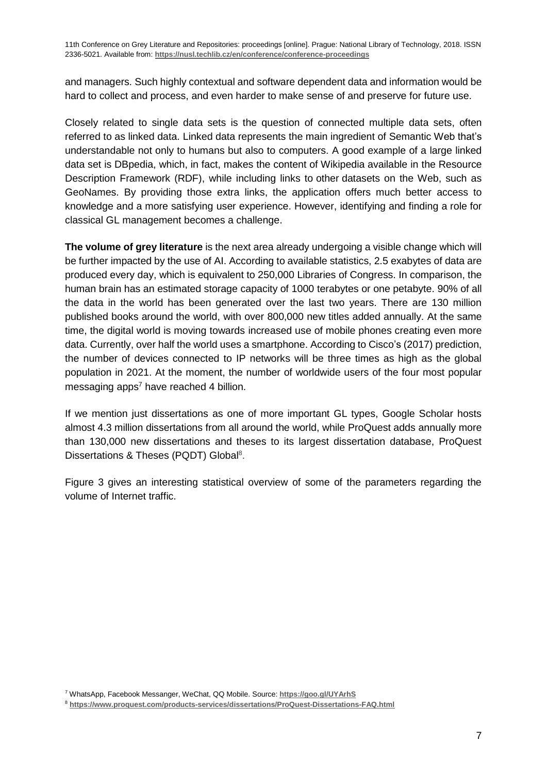and managers. Such highly contextual and software dependent data and information would be hard to collect and process, and even harder to make sense of and preserve for future use.

Closely related to single data sets is the question of connected multiple data sets, often referred to as linked data. Linked data represents the main ingredient of Semantic Web that's understandable not only to humans but also to computers. A good example of a large linked data set is DBpedia, which, in fact, makes the content of Wikipedia available in the Resource Description Framework (RDF), while including links to other datasets on the Web, such as GeoNames. By providing those extra links, the application offers much better access to knowledge and a more satisfying user experience. However, identifying and finding a role for classical GL management becomes a challenge.

**The volume of grey literature** is the next area already undergoing a visible change which will be further impacted by the use of AI. According to available statistics, 2.5 exabytes of data are produced every day, which is equivalent to 250,000 Libraries of Congress. In comparison, the human brain has an estimated storage capacity of 1000 terabytes or one petabyte. 90% of all the data in the world has been generated over the last two years. There are 130 million published books around the world, with over 800,000 new titles added annually. At the same time, the digital world is moving towards increased use of mobile phones creating even more data. Currently, over half the world uses a smartphone. According to Cisco's (2017) prediction, the number of devices connected to IP networks will be three times as high as the global population in 2021. At the moment, the number of worldwide users of the four most popular messaging apps<sup>7</sup> have reached 4 billion.

If we mention just dissertations as one of more important GL types, Google Scholar hosts almost 4.3 million dissertations from all around the world, while ProQuest adds annually more than 130,000 new dissertations and theses to its largest dissertation database, ProQuest Dissertations & Theses (PQDT) Global<sup>8</sup>.

Figure 3 gives an interesting statistical overview of some of the parameters regarding the volume of Internet traffic.

<sup>7</sup> WhatsApp, Facebook Messanger, WeChat, QQ Mobile. Source: **https://goo.gl/UYArhS**

<sup>8</sup> **https://www.proquest.com/products-services/dissertations/ProQuest-Dissertations-FAQ.html**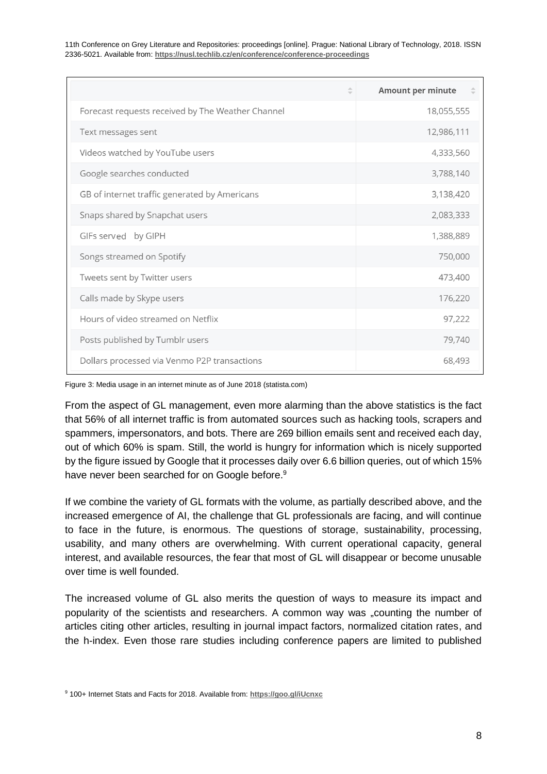|                                                   | <b>Amount per minute</b> |
|---------------------------------------------------|--------------------------|
| Forecast requests received by The Weather Channel | 18,055,555               |
| Text messages sent                                | 12,986,111               |
| Videos watched by YouTube users                   | 4,333,560                |
| Google searches conducted                         | 3,788,140                |
| GB of internet traffic generated by Americans     | 3,138,420                |
| Snaps shared by Snapchat users                    | 2,083,333                |
| GIFs served by GIPH                               | 1,388,889                |
| Songs streamed on Spotify                         | 750,000                  |
| Tweets sent by Twitter users                      | 473,400                  |
| Calls made by Skype users                         | 176,220                  |
| Hours of video streamed on Netflix                | 97,222                   |
| Posts published by Tumblr users                   | 79,740                   |
| Dollars processed via Venmo P2P transactions      | 68,493                   |

Figure 3: Media usage in an internet minute as of June 2018 (statista.com)

From the aspect of GL management, even more alarming than the above statistics is the fact that 56% of all internet traffic is from automated sources such as hacking tools, scrapers and spammers, impersonators, and bots. There are 269 billion emails sent and received each day, out of which 60% is spam. Still, the world is hungry for information which is nicely supported by the figure issued by Google that it processes daily over 6.6 billion queries, out of which 15% have never been searched for on Google before.<sup>9</sup>

If we combine the variety of GL formats with the volume, as partially described above, and the increased emergence of AI, the challenge that GL professionals are facing, and will continue to face in the future, is enormous. The questions of storage, sustainability, processing, usability, and many others are overwhelming. With current operational capacity, general interest, and available resources, the fear that most of GL will disappear or become unusable over time is well founded.

The increased volume of GL also merits the question of ways to measure its impact and popularity of the scientists and researchers. A common way was "counting the number of articles citing other articles, resulting in journal impact factors, normalized citation rates, and the h-index. Even those rare studies including conference papers are limited to published

<sup>9</sup> 100+ Internet Stats and Facts for 2018. Available from: **https://goo.gl/iUcnxc**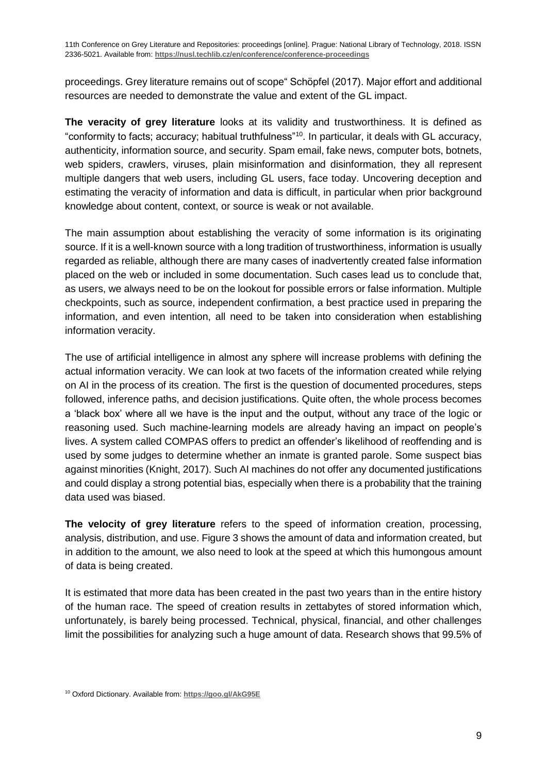proceedings. Grey literature remains out of scope" Schöpfel (2017). Major effort and additional resources are needed to demonstrate the value and extent of the GL impact.

**The veracity of grey literature** looks at its validity and trustworthiness. It is defined as "conformity to facts; accuracy; habitual truthfulness"<sup>10</sup> . In particular, it deals with GL accuracy, authenticity, information source, and security. Spam email, fake news, computer bots, botnets, web spiders, crawlers, viruses, plain misinformation and disinformation, they all represent multiple dangers that web users, including GL users, face today. Uncovering deception and estimating the veracity of information and data is difficult, in particular when prior background knowledge about content, context, or source is weak or not available.

The main assumption about establishing the veracity of some information is its originating source. If it is a well-known source with a long tradition of trustworthiness, information is usually regarded as reliable, although there are many cases of inadvertently created false information placed on the web or included in some documentation. Such cases lead us to conclude that, as users, we always need to be on the lookout for possible errors or false information. Multiple checkpoints, such as source, independent confirmation, a best practice used in preparing the information, and even intention, all need to be taken into consideration when establishing information veracity.

The use of artificial intelligence in almost any sphere will increase problems with defining the actual information veracity. We can look at two facets of the information created while relying on AI in the process of its creation. The first is the question of documented procedures, steps followed, inference paths, and decision justifications. Quite often, the whole process becomes a 'black box' where all we have is the input and the output, without any trace of the logic or reasoning used. Such machine-learning models are already having an impact on people's lives. A system called COMPAS offers to predict an offender's likelihood of reoffending and is used by some judges to determine whether an inmate is granted parole. Some suspect bias against minorities (Knight, 2017). Such AI machines do not offer any documented justifications and could display a strong potential bias, especially when there is a probability that the training data used was biased.

**The velocity of grey literature** refers to the speed of information creation, processing, analysis, distribution, and use. Figure 3 shows the amount of data and information created, but in addition to the amount, we also need to look at the speed at which this humongous amount of data is being created.

It is estimated that more data has been created in the past two years than in the entire history of the human race. The speed of creation results in zettabytes of stored information which, unfortunately, is barely being processed. Technical, physical, financial, and other challenges limit the possibilities for analyzing such a huge amount of data. Research shows that 99.5% of

<sup>10</sup> Oxford Dictionary. Available from: **https://goo.gl/AkG95E**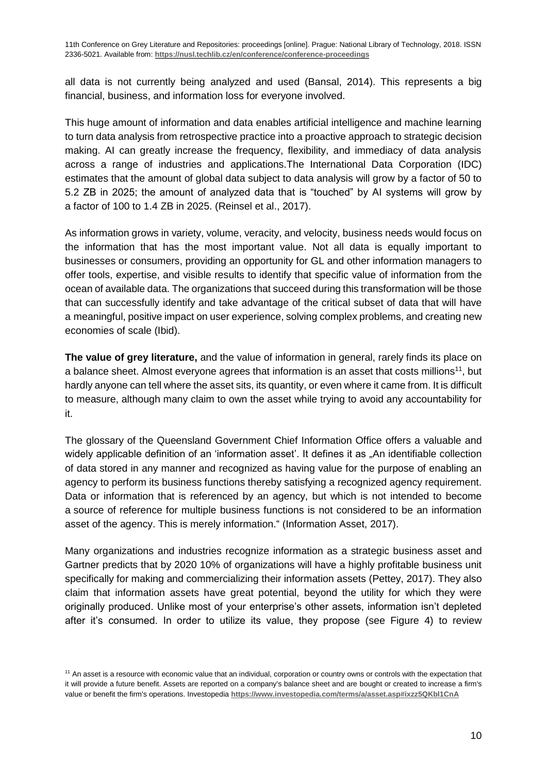all data is not currently being analyzed and used (Bansal, 2014). This represents a big financial, business, and information loss for everyone involved.

This huge amount of information and data enables artificial intelligence and machine learning to turn data analysis from retrospective practice into a proactive approach to strategic decision making. AI can greatly increase the frequency, flexibility, and immediacy of data analysis across a range of industries and applications.The International Data Corporation (IDC) estimates that the amount of global data subject to data analysis will grow by a factor of 50 to 5.2 ZB in 2025; the amount of analyzed data that is "touched" by AI systems will grow by a factor of 100 to 1.4 ZB in 2025. (Reinsel et al., 2017).

As information grows in variety, volume, veracity, and velocity, business needs would focus on the information that has the most important value. Not all data is equally important to businesses or consumers, providing an opportunity for GL and other information managers to offer tools, expertise, and visible results to identify that specific value of information from the ocean of available data. The organizations that succeed during this transformation will be those that can successfully identify and take advantage of the critical subset of data that will have a meaningful, positive impact on user experience, solving complex problems, and creating new economies of scale (Ibid).

**The value of grey literature,** and the value of information in general, rarely finds its place on a balance sheet. Almost everyone agrees that information is an asset that costs millions<sup>11</sup>, but hardly anyone can tell where the asset sits, its quantity, or even where it came from. It is difficult to measure, although many claim to own the asset while trying to avoid any accountability for it.

The glossary of the Queensland Government Chief Information Office offers a valuable and widely applicable definition of an 'information asset'. It defines it as "An identifiable collection of data stored in any manner and recognized as having value for the purpose of enabling an agency to perform its business functions thereby satisfying a recognized agency requirement. Data or information that is referenced by an agency, but which is not intended to become a source of reference for multiple business functions is not considered to be an information asset of the agency. This is merely information." (Information Asset, 2017).

Many organizations and industries recognize information as a strategic business asset and Gartner predicts that by 2020 10% of organizations will have a highly profitable business unit specifically for making and commercializing their information assets (Pettey, 2017). They also claim that information assets have great potential, beyond the utility for which they were originally produced. Unlike most of your enterprise's other assets, information isn't depleted after it's consumed. In order to utilize its value, they propose (see Figure 4) to review

<sup>&</sup>lt;sup>11</sup> An asset is a resource with economic value that an individual, corporation or country owns or controls with the expectation that it will provide a future benefit. Assets are reported on a company's balance sheet and are bought or created to increase a firm's value or benefit the firm's operations. Investopedia **https://www.investopedia.com/terms/a/asset.asp#ixzz5QKbl1CnA**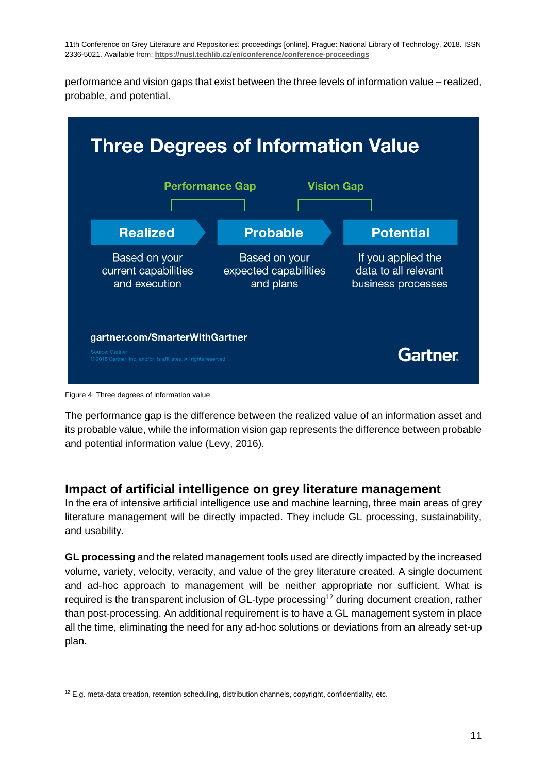performance and vision gaps that exist between the three levels of information value – realized, probable, and potential.



Figure 4: Three degrees of information value

The performance gap is the difference between the realized value of an information asset and its probable value, while the information vision gap represents the difference between probable and potential information value (Levy, 2016).

#### **Impact of artificial intelligence on grey literature management**

In the era of intensive artificial intelligence use and machine learning, three main areas of grey literature management will be directly impacted. They include GL processing, sustainability, and usability.

**GL processing** and the related management tools used are directly impacted by the increased volume, variety, velocity, veracity, and value of the grey literature created. A single document and ad-hoc approach to management will be neither appropriate nor sufficient. What is required is the transparent inclusion of GL-type processing<sup>12</sup> during document creation, rather than post-processing. An additional requirement is to have a GL management system in place all the time, eliminating the need for any ad-hoc solutions or deviations from an already set-up plan.

 $12$  E.g. meta-data creation, retention scheduling, distribution channels, copyright, confidentiality, etc.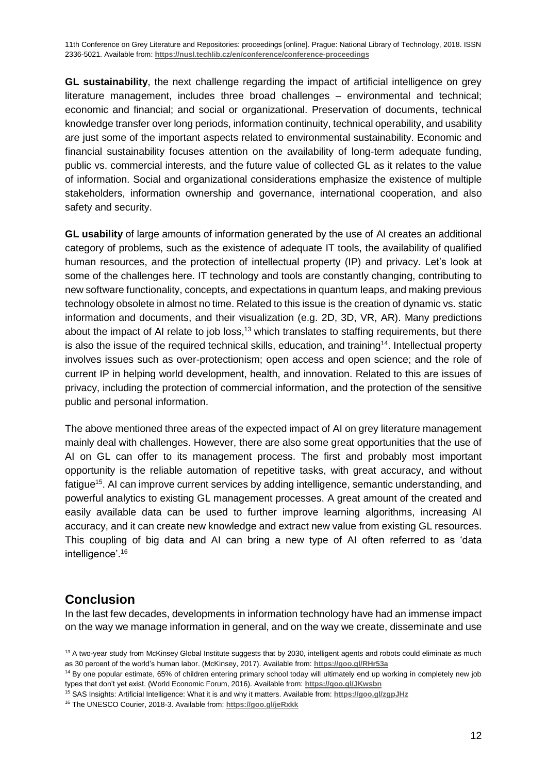**GL sustainability**, the next challenge regarding the impact of artificial intelligence on grey literature management, includes three broad challenges – environmental and technical; economic and financial; and social or organizational. Preservation of documents, technical knowledge transfer over long periods, information continuity, technical operability, and usability are just some of the important aspects related to environmental sustainability. Economic and financial sustainability focuses attention on the availability of long-term adequate funding, public vs. commercial interests, and the future value of collected GL as it relates to the value of information. Social and organizational considerations emphasize the existence of multiple stakeholders, information ownership and governance, international cooperation, and also safety and security.

**GL usability** of large amounts of information generated by the use of AI creates an additional category of problems, such as the existence of adequate IT tools, the availability of qualified human resources, and the protection of intellectual property (IP) and privacy. Let's look at some of the challenges here. IT technology and tools are constantly changing, contributing to new software functionality, concepts, and expectations in quantum leaps, and making previous technology obsolete in almost no time. Related to this issue is the creation of dynamic vs. static information and documents, and their visualization (e.g. 2D, 3D, VR, AR). Many predictions about the impact of AI relate to job loss,<sup>13</sup> which translates to staffing requirements, but there is also the issue of the required technical skills, education, and training<sup>14</sup>. Intellectual property involves issues such as over-protectionism; open access and open science; and the role of current IP in helping world development, health, and innovation. Related to this are issues of privacy, including the protection of commercial information, and the protection of the sensitive public and personal information.

The above mentioned three areas of the expected impact of AI on grey literature management mainly deal with challenges. However, there are also some great opportunities that the use of AI on GL can offer to its management process. The first and probably most important opportunity is the reliable automation of repetitive tasks, with great accuracy, and without fatigue<sup>15</sup>. AI can improve current services by adding intelligence, semantic understanding, and powerful analytics to existing GL management processes. A great amount of the created and easily available data can be used to further improve learning algorithms, increasing AI accuracy, and it can create new knowledge and extract new value from existing GL resources. This coupling of big data and AI can bring a new type of AI often referred to as 'data intelligence'.<sup>16</sup>

#### **Conclusion**

In the last few decades, developments in information technology have had an immense impact on the way we manage information in general, and on the way we create, disseminate and use

<sup>14</sup> By one popular estimate, 65% of children entering primary school today will ultimately end up working in completely new job types that don't yet exist. (World Economic Forum, 2016). Available from: **https://goo.gl/JKwsbn**

<sup>16</sup> The UNESCO Courier, 2018-3. Available from: **https://goo.gl/jeRxkk**

 $13$  A two-year study from McKinsey Global Institute suggests that by 2030, intelligent agents and robots could eliminate as much as 30 percent of the world's human labor. (McKinsey, 2017). Available from: **https://goo.gl/RHr53a**

<sup>15</sup> SAS Insights: Artificial Intelligence: What it is and why it matters. Available from: **https://goo.gl/zgpJHz**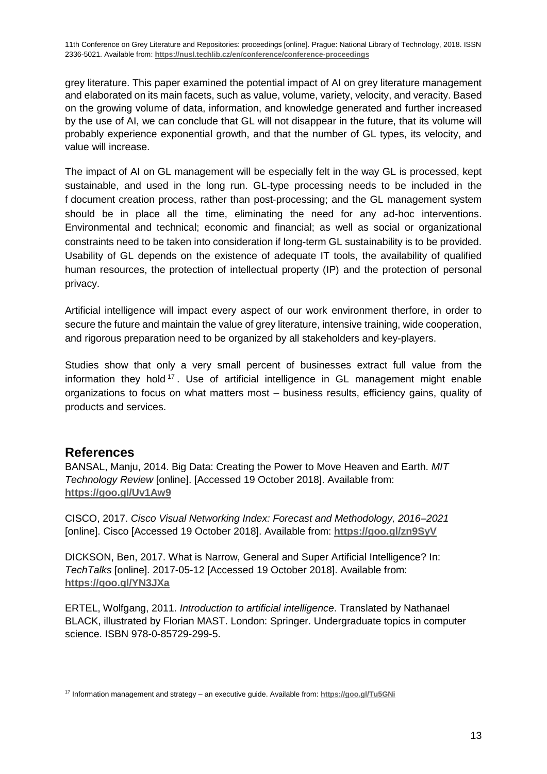grey literature. This paper examined the potential impact of AI on grey literature management and elaborated on its main facets, such as value, volume, variety, velocity, and veracity. Based on the growing volume of data, information, and knowledge generated and further increased by the use of AI, we can conclude that GL will not disappear in the future, that its volume will probably experience exponential growth, and that the number of GL types, its velocity, and value will increase.

The impact of AI on GL management will be especially felt in the way GL is processed, kept sustainable, and used in the long run. GL-type processing needs to be included in the f document creation process, rather than post-processing; and the GL management system should be in place all the time, eliminating the need for any ad-hoc interventions. Environmental and technical; economic and financial; as well as social or organizational constraints need to be taken into consideration if long-term GL sustainability is to be provided. Usability of GL depends on the existence of adequate IT tools, the availability of qualified human resources, the protection of intellectual property (IP) and the protection of personal privacy.

Artificial intelligence will impact every aspect of our work environment therfore, in order to secure the future and maintain the value of grey literature, intensive training, wide cooperation, and rigorous preparation need to be organized by all stakeholders and key-players.

Studies show that only a very small percent of businesses extract full value from the information they hold<sup>17</sup>. Use of artificial intelligence in GL management might enable organizations to focus on what matters most – business results, efficiency gains, quality of products and services.

#### **References**

BANSAL, Manju, 2014. Big Data: Creating the Power to Move Heaven and Earth. *MIT Technology Review* [online]. [Accessed 19 October 2018]. Available from: **<https://goo.gl/Uv1Aw9>**

CISCO, 2017. *Cisco Visual Networking Index: Forecast and Methodology, 2016–2021* [online]. Cisco [Accessed 19 October 2018]. Available from: **<https://goo.gl/zn9SyV>**

DICKSON, Ben, 2017. What is Narrow, General and Super Artificial Intelligence? In: *TechTalks* [online]. 2017-05-12 [Accessed 19 October 2018]. Available from: **<https://goo.gl/YN3JXa>**

ERTEL, Wolfgang, 2011. *Introduction to artificial intelligence*. Translated by Nathanael BLACK, illustrated by Florian MAST. London: Springer. Undergraduate topics in computer science. ISBN 978-0-85729-299-5.

<sup>17</sup> Information management and strategy – an executive guide. Available from: **https://goo.gl/Tu5GNi**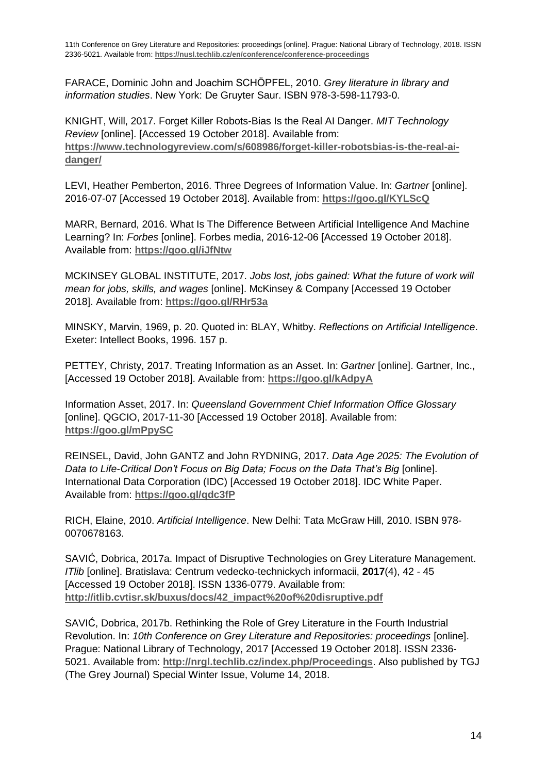FARACE, Dominic John and Joachim SCHÖPFEL, 2010. *Grey literature in library and information studies*. New York: De Gruyter Saur. ISBN 978-3-598-11793-0.

KNIGHT, Will, 2017. Forget Killer Robots-Bias Is the Real AI Danger. *MIT Technology Review* [online]. [Accessed 19 October 2018]. Available from: **https://www.technologyreview.com/s/608986/forget-killer-robotsbias-is-the-real-aidanger/**

LEVI, Heather Pemberton, 2016. Three Degrees of Information Value. In: *Gartner* [online]. 2016-07-07 [Accessed 19 October 2018]. Available from: **<https://goo.gl/KYLScQ>**

MARR, Bernard, 2016. What Is The Difference Between Artificial Intelligence And Machine Learning? In: *Forbes* [online]. Forbes media, 2016-12-06 [Accessed 19 October 2018]. Available from: **<https://goo.gl/iJfNtw>**

MCKINSEY GLOBAL INSTITUTE, 2017. *Jobs lost, jobs gained: What the future of work will mean for jobs, skills, and wages* [online]. McKinsey & Company [Accessed 19 October 2018]. Available from: **<https://goo.gl/RHr53a>**

MINSKY, Marvin, 1969, p. 20. Quoted in: BLAY, Whitby. *Reflections on Artificial Intelligence*. Exeter: Intellect Books, 1996. 157 p.

PETTEY, Christy, 2017. Treating Information as an Asset. In: *Gartner* [online]. Gartner, Inc., [Accessed 19 October 2018]. Available from: **<https://goo.gl/kAdpyA>**

Information Asset, 2017. In: *Queensland Government Chief Information Office Glossary* [online]. QGCIO, 2017-11-30 [Accessed 19 October 2018]. Available from: **<https://goo.gl/mPpySC>**

REINSEL, David, John GANTZ and John RYDNING, 2017. *Data Age 2025: The Evolution of Data to Life-Critical Don't Focus on Big Data; Focus on the Data That's Big* [online]. International Data Corporation (IDC) [Accessed 19 October 2018]. IDC White Paper. Available from: **<https://goo.gl/qdc3fP>**

RICH, Elaine, 2010. *Artificial Intelligence*. New Delhi: Tata McGraw Hill, 2010. ISBN 978- 0070678163.

SAVIĆ, Dobrica, 2017a. Impact of Disruptive Technologies on Grey Literature Management. *ITlib* [online]. Bratislava: Centrum vedecko-technickych informacii, **2017**(4), 42 - 45 [Accessed 19 October 2018]. ISSN 1336-0779. Available from: **http://itlib.cvtisr.sk/buxus/docs/42\_impact%20of%20disruptive.pdf**

SAVIĆ, Dobrica, 2017b. Rethinking the Role of Grey Literature in the Fourth Industrial Revolution. In: *10th Conference on Grey Literature and Repositories: proceedings* [online]. Prague: National Library of Technology, 2017 [Accessed 19 October 2018]. ISSN 2336- 5021. Available from: **http://nrgl.techlib.cz/index.php/Proceedings**. Also published by TGJ (The Grey Journal) Special Winter Issue, Volume 14, 2018.